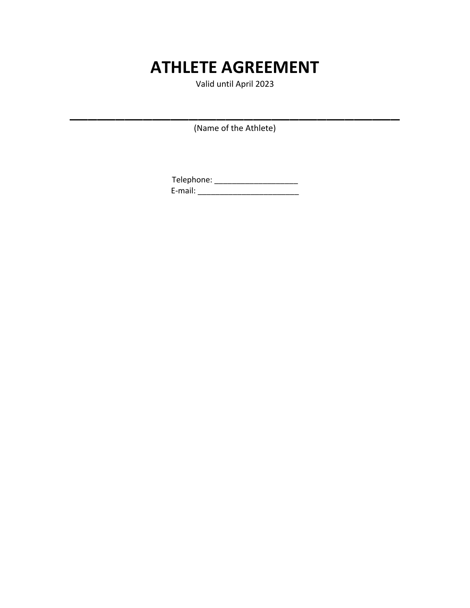# **ATHLETE AGREEMENT**

Valid until April 2023

(Name of the Athlete)

\_\_\_\_\_\_\_\_\_\_\_\_\_\_\_\_\_\_\_\_\_\_\_\_\_\_\_\_\_\_\_\_\_\_\_\_

Telephone: \_\_\_\_\_\_\_\_\_\_\_\_\_\_\_\_\_\_\_\_\_\_\_ E-mail: \_\_\_\_\_\_\_\_\_\_\_\_\_\_\_\_\_\_\_\_\_\_\_\_\_\_\_\_\_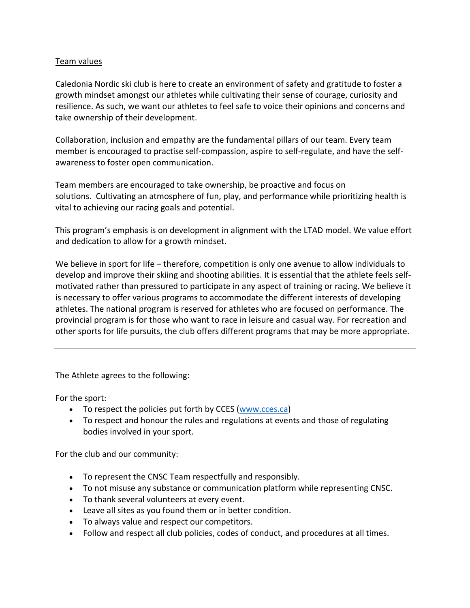## Team values

Caledonia Nordic ski club is here to create an environment of safety and gratitude to foster a growth mindset amongst our athletes while cultivating their sense of courage, curiosity and resilience. As such, we want our athletes to feel safe to voice their opinions and concerns and take ownership of their development.

Collaboration, inclusion and empathy are the fundamental pillars of our team. Every team member is encouraged to practise self-compassion, aspire to self-regulate, and have the selfawareness to foster open communication.

Team members are encouraged to take ownership, be proactive and focus on solutions. Cultivating an atmosphere of fun, play, and performance while prioritizing health is vital to achieving our racing goals and potential.

This program's emphasis is on development in alignment with the LTAD model. We value effort and dedication to allow for a growth mindset.

We believe in sport for life – therefore, competition is only one avenue to allow individuals to develop and improve their skiing and shooting abilities. It is essential that the athlete feels selfmotivated rather than pressured to participate in any aspect of training or racing. We believe it is necessary to offer various programs to accommodate the different interests of developing athletes. The national program is reserved for athletes who are focused on performance. The provincial program is for those who want to race in leisure and casual way. For recreation and other sports for life pursuits, the club offers different programs that may be more appropriate.

The Athlete agrees to the following:

For the sport:

- To respect the policies put forth by CCES (www.cces.ca)
- To respect and honour the rules and regulations at events and those of regulating bodies involved in your sport.

For the club and our community:

- To represent the CNSC Team respectfully and responsibly.
- To not misuse any substance or communication platform while representing CNSC.
- To thank several volunteers at every event.
- Leave all sites as you found them or in better condition.
- To always value and respect our competitors.
- Follow and respect all club policies, codes of conduct, and procedures at all times.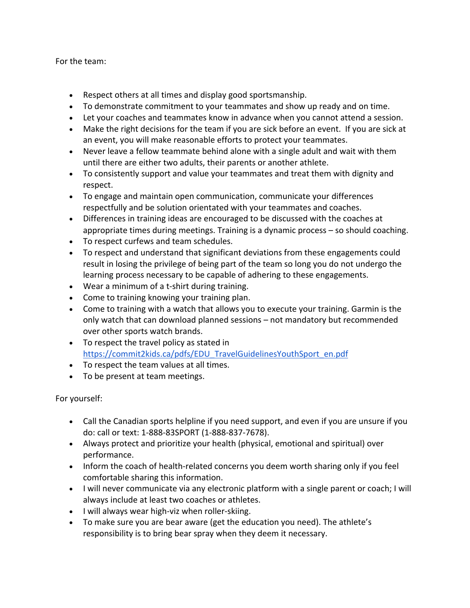For the team:

- Respect others at all times and display good sportsmanship.
- To demonstrate commitment to your teammates and show up ready and on time.
- Let your coaches and teammates know in advance when you cannot attend a session.
- Make the right decisions for the team if you are sick before an event. If you are sick at an event, you will make reasonable efforts to protect your teammates.
- Never leave a fellow teammate behind alone with a single adult and wait with them until there are either two adults, their parents or another athlete.
- To consistently support and value your teammates and treat them with dignity and respect.
- To engage and maintain open communication, communicate your differences respectfully and be solution orientated with your teammates and coaches.
- Differences in training ideas are encouraged to be discussed with the coaches at appropriate times during meetings. Training is a dynamic process – so should coaching.
- To respect curfews and team schedules.
- To respect and understand that significant deviations from these engagements could result in losing the privilege of being part of the team so long you do not undergo the learning process necessary to be capable of adhering to these engagements.
- Wear a minimum of a t-shirt during training.
- Come to training knowing your training plan.
- Come to training with a watch that allows you to execute your training. Garmin is the only watch that can download planned sessions – not mandatory but recommended over other sports watch brands.
- To respect the travel policy as stated in https://commit2kids.ca/pdfs/EDU\_TravelGuidelinesYouthSport\_en.pdf
- To respect the team values at all times.
- To be present at team meetings.

For yourself:

- Call the Canadian sports helpline if you need support, and even if you are unsure if you do: call or text: 1-888-83SPORT (1-888-837-7678).
- Always protect and prioritize your health (physical, emotional and spiritual) over performance.
- Inform the coach of health-related concerns you deem worth sharing only if you feel comfortable sharing this information.
- I will never communicate via any electronic platform with a single parent or coach; I will always include at least two coaches or athletes.
- I will always wear high-viz when roller-skiing.
- To make sure you are bear aware (get the education you need). The athlete's responsibility is to bring bear spray when they deem it necessary.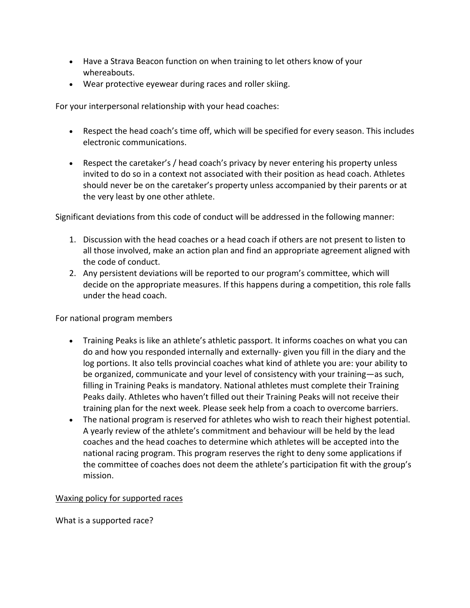- Have a Strava Beacon function on when training to let others know of your whereabouts.
- Wear protective eyewear during races and roller skiing.

For your interpersonal relationship with your head coaches:

- Respect the head coach's time off, which will be specified for every season. This includes electronic communications.
- Respect the caretaker's / head coach's privacy by never entering his property unless invited to do so in a context not associated with their position as head coach. Athletes should never be on the caretaker's property unless accompanied by their parents or at the very least by one other athlete.

Significant deviations from this code of conduct will be addressed in the following manner:

- 1. Discussion with the head coaches or a head coach if others are not present to listen to all those involved, make an action plan and find an appropriate agreement aligned with the code of conduct.
- 2. Any persistent deviations will be reported to our program's committee, which will decide on the appropriate measures. If this happens during a competition, this role falls under the head coach.

For national program members

- Training Peaks is like an athlete's athletic passport. It informs coaches on what you can do and how you responded internally and externally- given you fill in the diary and the log portions. It also tells provincial coaches what kind of athlete you are: your ability to be organized, communicate and your level of consistency with your training—as such, filling in Training Peaks is mandatory. National athletes must complete their Training Peaks daily. Athletes who haven't filled out their Training Peaks will not receive their training plan for the next week. Please seek help from a coach to overcome barriers.
- The national program is reserved for athletes who wish to reach their highest potential. A yearly review of the athlete's commitment and behaviour will be held by the lead coaches and the head coaches to determine which athletes will be accepted into the national racing program. This program reserves the right to deny some applications if the committee of coaches does not deem the athlete's participation fit with the group's mission.

Waxing policy for supported races

What is a supported race?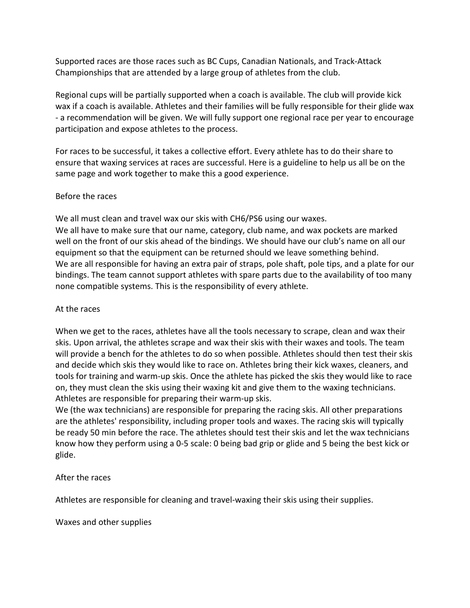Supported races are those races such as BC Cups, Canadian Nationals, and Track-Attack Championships that are attended by a large group of athletes from the club.

Regional cups will be partially supported when a coach is available. The club will provide kick wax if a coach is available. Athletes and their families will be fully responsible for their glide wax - a recommendation will be given. We will fully support one regional race per year to encourage participation and expose athletes to the process.

For races to be successful, it takes a collective effort. Every athlete has to do their share to ensure that waxing services at races are successful. Here is a guideline to help us all be on the same page and work together to make this a good experience.

## Before the races

We all must clean and travel wax our skis with CH6/PS6 using our waxes. We all have to make sure that our name, category, club name, and wax pockets are marked well on the front of our skis ahead of the bindings. We should have our club's name on all our

equipment so that the equipment can be returned should we leave something behind. We are all responsible for having an extra pair of straps, pole shaft, pole tips, and a plate for our bindings. The team cannot support athletes with spare parts due to the availability of too many none compatible systems. This is the responsibility of every athlete.

## At the races

When we get to the races, athletes have all the tools necessary to scrape, clean and wax their skis. Upon arrival, the athletes scrape and wax their skis with their waxes and tools. The team will provide a bench for the athletes to do so when possible. Athletes should then test their skis and decide which skis they would like to race on. Athletes bring their kick waxes, cleaners, and tools for training and warm-up skis. Once the athlete has picked the skis they would like to race on, they must clean the skis using their waxing kit and give them to the waxing technicians. Athletes are responsible for preparing their warm-up skis.

We (the wax technicians) are responsible for preparing the racing skis. All other preparations are the athletes' responsibility, including proper tools and waxes. The racing skis will typically be ready 50 min before the race. The athletes should test their skis and let the wax technicians know how they perform using a 0-5 scale: 0 being bad grip or glide and 5 being the best kick or glide.

# After the races

Athletes are responsible for cleaning and travel-waxing their skis using their supplies.

Waxes and other supplies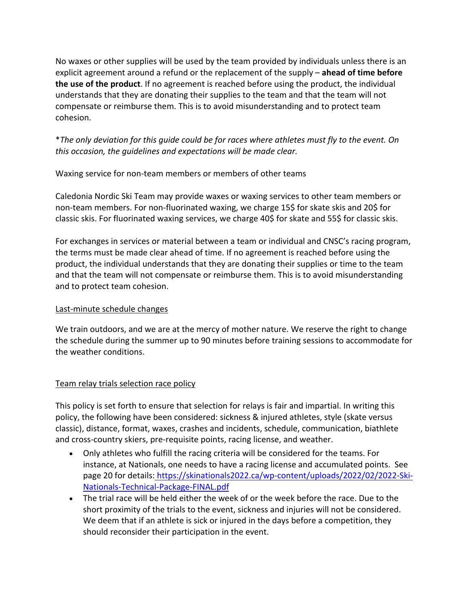No waxes or other supplies will be used by the team provided by individuals unless there is an explicit agreement around a refund or the replacement of the supply – **ahead of time before the use of the product**. If no agreement is reached before using the product, the individual understands that they are donating their supplies to the team and that the team will not compensate or reimburse them. This is to avoid misunderstanding and to protect team cohesion.

\**The only deviation for this guide could be for races where athletes must fly to the event. On this occasion, the guidelines and expectations will be made clear.*

Waxing service for non-team members or members of other teams

Caledonia Nordic Ski Team may provide waxes or waxing services to other team members or non-team members. For non-fluorinated waxing, we charge 15\$ for skate skis and 20\$ for classic skis. For fluorinated waxing services, we charge 40\$ for skate and 55\$ for classic skis.

For exchanges in services or material between a team or individual and CNSC's racing program, the terms must be made clear ahead of time. If no agreement is reached before using the product, the individual understands that they are donating their supplies or time to the team and that the team will not compensate or reimburse them. This is to avoid misunderstanding and to protect team cohesion.

# Last-minute schedule changes

We train outdoors, and we are at the mercy of mother nature. We reserve the right to change the schedule during the summer up to 90 minutes before training sessions to accommodate for the weather conditions.

# Team relay trials selection race policy

This policy is set forth to ensure that selection for relays is fair and impartial. In writing this policy, the following have been considered: sickness & injured athletes, style (skate versus classic), distance, format, waxes, crashes and incidents, schedule, communication, biathlete and cross-country skiers, pre-requisite points, racing license, and weather.

- Only athletes who fulfill the racing criteria will be considered for the teams. For instance, at Nationals, one needs to have a racing license and accumulated points. See page 20 for details: https://skinationals2022.ca/wp-content/uploads/2022/02/2022-Ski-Nationals-Technical-Package-FINAL.pdf
- The trial race will be held either the week of or the week before the race. Due to the short proximity of the trials to the event, sickness and injuries will not be considered. We deem that if an athlete is sick or injured in the days before a competition, they should reconsider their participation in the event.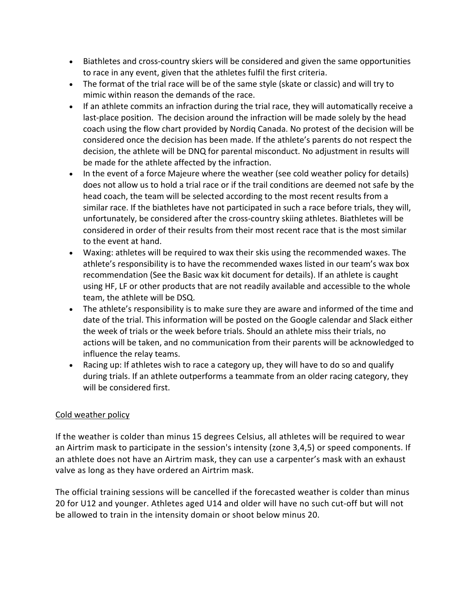- Biathletes and cross-country skiers will be considered and given the same opportunities to race in any event, given that the athletes fulfil the first criteria.
- The format of the trial race will be of the same style (skate or classic) and will try to mimic within reason the demands of the race.
- If an athlete commits an infraction during the trial race, they will automatically receive a last-place position. The decision around the infraction will be made solely by the head coach using the flow chart provided by Nordiq Canada. No protest of the decision will be considered once the decision has been made. If the athlete's parents do not respect the decision, the athlete will be DNQ for parental misconduct. No adjustment in results will be made for the athlete affected by the infraction.
- In the event of a force Majeure where the weather (see cold weather policy for details) does not allow us to hold a trial race or if the trail conditions are deemed not safe by the head coach, the team will be selected according to the most recent results from a similar race. If the biathletes have not participated in such a race before trials, they will, unfortunately, be considered after the cross-country skiing athletes. Biathletes will be considered in order of their results from their most recent race that is the most similar to the event at hand.
- Waxing: athletes will be required to wax their skis using the recommended waxes. The athlete's responsibility is to have the recommended waxes listed in our team's wax box recommendation (See the Basic wax kit document for details). If an athlete is caught using HF, LF or other products that are not readily available and accessible to the whole team, the athlete will be DSQ.
- The athlete's responsibility is to make sure they are aware and informed of the time and date of the trial. This information will be posted on the Google calendar and Slack either the week of trials or the week before trials. Should an athlete miss their trials, no actions will be taken, and no communication from their parents will be acknowledged to influence the relay teams.
- Racing up: If athletes wish to race a category up, they will have to do so and qualify during trials. If an athlete outperforms a teammate from an older racing category, they will be considered first.

# Cold weather policy

If the weather is colder than minus 15 degrees Celsius, all athletes will be required to wear an Airtrim mask to participate in the session's intensity (zone 3,4,5) or speed components. If an athlete does not have an Airtrim mask, they can use a carpenter's mask with an exhaust valve as long as they have ordered an Airtrim mask.

The official training sessions will be cancelled if the forecasted weather is colder than minus 20 for U12 and younger. Athletes aged U14 and older will have no such cut-off but will not be allowed to train in the intensity domain or shoot below minus 20.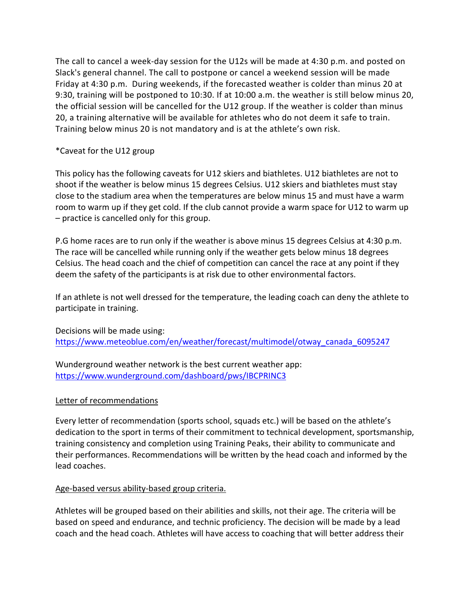The call to cancel a week-day session for the U12s will be made at 4:30 p.m. and posted on Slack's general channel. The call to postpone or cancel a weekend session will be made Friday at 4:30 p.m. During weekends, if the forecasted weather is colder than minus 20 at 9:30, training will be postponed to 10:30. If at 10:00 a.m. the weather is still below minus 20, the official session will be cancelled for the U12 group. If the weather is colder than minus 20, a training alternative will be available for athletes who do not deem it safe to train. Training below minus 20 is not mandatory and is at the athlete's own risk.

## \*Caveat for the U12 group

This policy has the following caveats for U12 skiers and biathletes. U12 biathletes are not to shoot if the weather is below minus 15 degrees Celsius. U12 skiers and biathletes must stay close to the stadium area when the temperatures are below minus 15 and must have a warm room to warm up if they get cold. If the club cannot provide a warm space for U12 to warm up – practice is cancelled only for this group.

P.G home races are to run only if the weather is above minus 15 degrees Celsius at 4:30 p.m. The race will be cancelled while running only if the weather gets below minus 18 degrees Celsius. The head coach and the chief of competition can cancel the race at any point if they deem the safety of the participants is at risk due to other environmental factors.

If an athlete is not well dressed for the temperature, the leading coach can deny the athlete to participate in training.

Decisions will be made using: https://www.meteoblue.com/en/weather/forecast/multimodel/otway\_canada\_6095247

Wunderground weather network is the best current weather app: https://www.wunderground.com/dashboard/pws/IBCPRINC3

## Letter of recommendations

Every letter of recommendation (sports school, squads etc.) will be based on the athlete's dedication to the sport in terms of their commitment to technical development, sportsmanship, training consistency and completion using Training Peaks, their ability to communicate and their performances. Recommendations will be written by the head coach and informed by the lead coaches.

## Age-based versus ability-based group criteria.

Athletes will be grouped based on their abilities and skills, not their age. The criteria will be based on speed and endurance, and technic proficiency. The decision will be made by a lead coach and the head coach. Athletes will have access to coaching that will better address their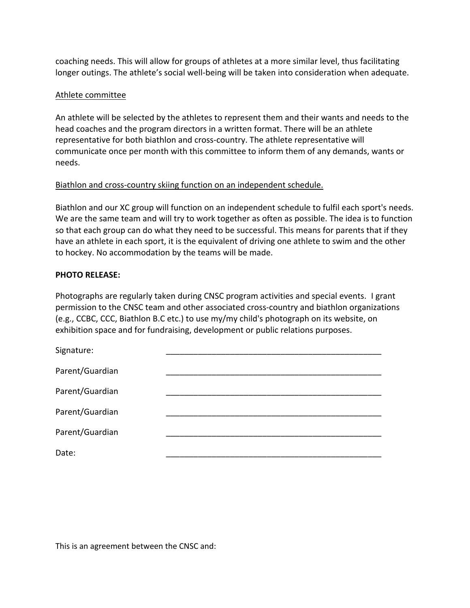coaching needs. This will allow for groups of athletes at a more similar level, thus facilitating longer outings. The athlete's social well-being will be taken into consideration when adequate.

## Athlete committee

An athlete will be selected by the athletes to represent them and their wants and needs to the head coaches and the program directors in a written format. There will be an athlete representative for both biathlon and cross-country. The athlete representative will communicate once per month with this committee to inform them of any demands, wants or needs.

## Biathlon and cross-country skiing function on an independent schedule.

Biathlon and our XC group will function on an independent schedule to fulfil each sport's needs. We are the same team and will try to work together as often as possible. The idea is to function so that each group can do what they need to be successful. This means for parents that if they have an athlete in each sport, it is the equivalent of driving one athlete to swim and the other to hockey. No accommodation by the teams will be made.

## **PHOTO RELEASE:**

Photographs are regularly taken during CNSC program activities and special events. I grant permission to the CNSC team and other associated cross-country and biathlon organizations (e.g., CCBC, CCC, Biathlon B.C etc.) to use my/my child's photograph on its website, on exhibition space and for fundraising, development or public relations purposes.

| Signature:      |  |
|-----------------|--|
| Parent/Guardian |  |
| Parent/Guardian |  |
| Parent/Guardian |  |
| Parent/Guardian |  |
| Date:           |  |
|                 |  |

This is an agreement between the CNSC and: